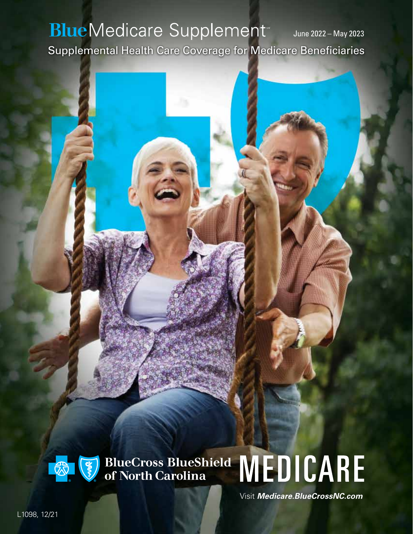### **BlueMedicare Supplement** June 2022 – May 2023 Supplemental Health Care Coverage for Medicare Beneficiaries



# BlueCross BlueShield MEDICARE

Visit *[Medicare.BlueCrossNC.com](https://medicare.bluecrossnc.com/medicare/)*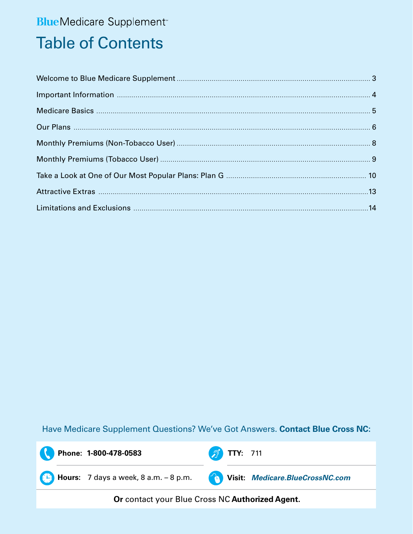### **Blue**Medicare Supplement<sup>®</sup>

### **Table of Contents**

Have Medicare Supplement Questions? We've Got Answers. Contact Blue Cross NC:

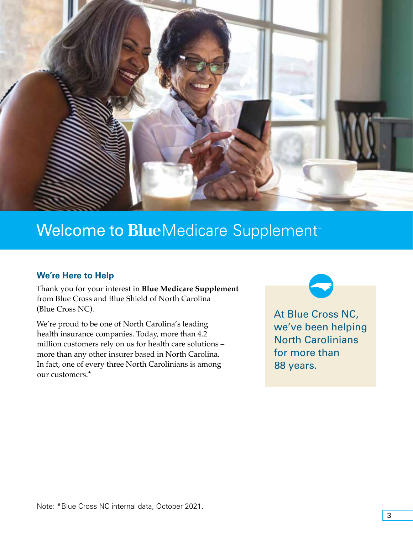<span id="page-2-0"></span>

### **Welcome to Blue**Medicare Supplement<sup>®</sup>

### **We're Here to Help**

Thank you for your interest in **Blue Medicare Supplement**  from Blue Cross and Blue Shield of North Carolina (Blue Cross NC).

We're proud to be one of North Carolina's leading health insurance companies. Today, more than 4.2 million customers rely on us for health care solutions – more than any other insurer based in North Carolina. In fact, one of every three North Carolinians is among our customers.\*

At Blue Cross NC, we've been helping North Carolinians for more than 88 years.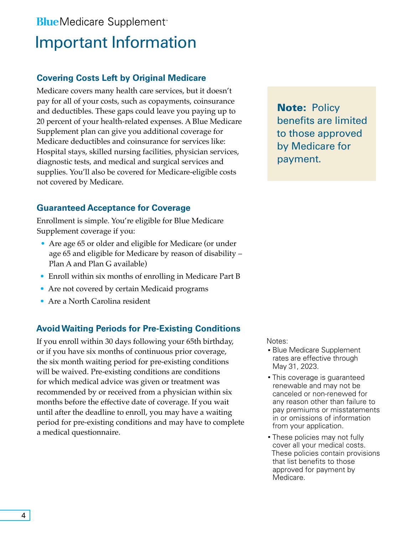### <span id="page-3-0"></span>**Blue** Medicare Supplement<sup>®</sup> Important Information

### **Covering Costs Left by Original Medicare**

Medicare covers many health care services, but it doesn't pay for all of your costs, such as copayments, coinsurance and deductibles. These gaps could leave you paying up to 20 percent of your health-related expenses. A Blue Medicare Supplement plan can give you additional coverage for Medicare deductibles and coinsurance for services like: Hospital stays, skilled nursing facilities, physician services, diagnostic tests, and medical and surgical services and supplies. You'll also be covered for Medicare-eligible costs not covered by Medicare.

### **Guaranteed Acceptance for Coverage**

Enrollment is simple. You're eligible for Blue Medicare Supplement coverage if you:

- Are age 65 or older and eligible for Medicare (or under age 65 and eligible for Medicare by reason of disability – Plan A and Plan G available)
- Enroll within six months of enrolling in Medicare Part B
- Are not covered by certain Medicaid programs
- Are a North Carolina resident

### **Avoid Waiting Periods for Pre-Existing Conditions**

If you enroll within 30 days following your 65th birthday, or if you have six months of continuous prior coverage, the six month waiting period for pre-existing conditions will be waived. Pre-existing conditions are conditions for which medical advice was given or treatment was recommended by or received from a physician within six months before the effective date of coverage. If you wait until after the deadline to enroll, you may have a waiting period for pre-existing conditions and may have to complete a medical questionnaire.

**Note: Policy** benefits are limited to those approved by Medicare for payment.

Notes:

- Blue Medicare Supplement rates are effective through May 31, 2023.
- This coverage is guaranteed renewable and may not be canceled or non-renewed for any reason other than failure to pay premiums or misstatements in or omissions of information from your application.
- These policies may not fully cover all your medical costs. These policies contain provisions that list benefits to those approved for payment by Medicare.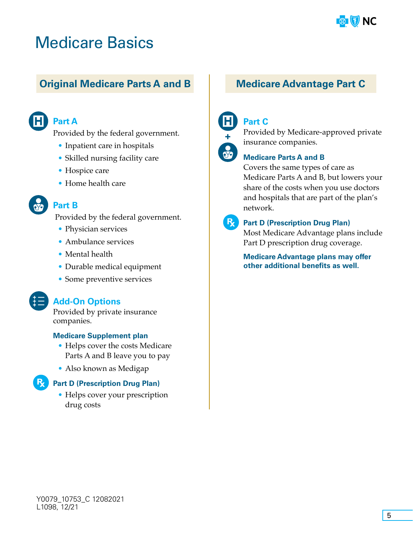

### <span id="page-4-0"></span>Medicare Basics

### **Original Medicare Parts A and B Medicare Advantage Part C**



#### **Part A**

Provided by the federal government.

- Inpatient care in hospitals
- Skilled nursing facility care
- Hospice care
- Home health care

### **Part B**

Provided by the federal government.

- Physician services
- Ambulance services
- Mental health
- Durable medical equipment
- Some preventive services

#### **Add-On Options**

Provided by private insurance companies.

#### **Medicare Supplement plan**

- Helps cover the costs Medicare Parts A and B leave you to pay
- Also known as Medigap

#### **Part D (Prescription Drug Plan)**

• Helps cover your prescription drug costs



#### **Part C**



Provided by Medicare-approved private insurance companies.

#### **Medicare Parts A and B**

Covers the same types of care as Medicare Parts A and B, but lowers your share of the costs when you use doctors and hospitals that are part of the plan's network.



#### **RA** Part D (Prescription Drug Plan)

Most Medicare Advantage plans include Part D prescription drug coverage.

**Medicare Advantage plans may offer other additional benefits as well.**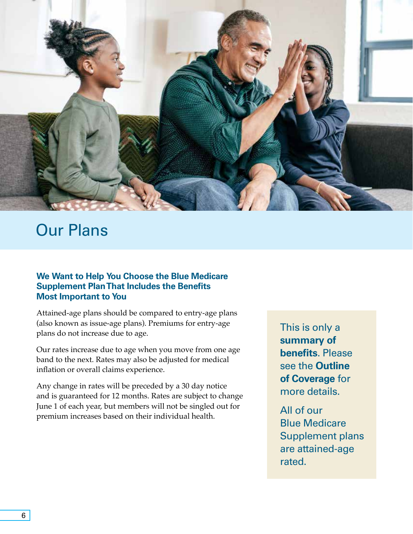<span id="page-5-0"></span>

### Our Plans

#### **We Want to Help You Choose the Blue Medicare Supplement Plan That Includes the Benefits Most Important to You**

Attained-age plans should be compared to entry-age plans (also known as issue-age plans). Premiums for entry-age plans do not increase due to age.

Our rates increase due to age when you move from one age band to the next. Rates may also be adjusted for medical inflation or overall claims experience.

Any change in rates will be preceded by a 30 day notice and is guaranteed for 12 months. Rates are subject to change June 1 of each year, but members will not be singled out for premium increases based on their individual health.

This is only a **summary of benefits**. Please see the **Outline of Coverage** for more details.

All of our Blue Medicare Supplement plans are attained-age rated.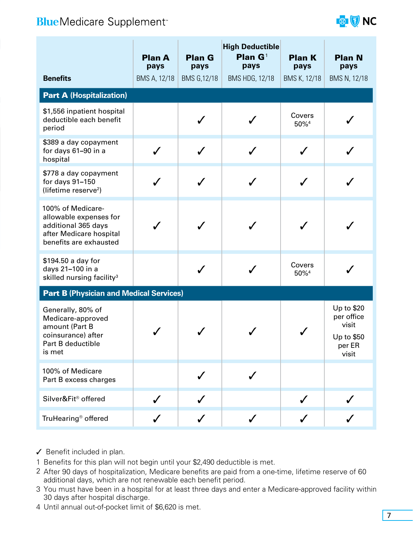### **BlueMedicare Supplement**\*



|                                                                                                                         | <b>Plan A</b><br>pays | <b>High Deductible</b><br><b>Plan G</b> <sup>1</sup><br><b>Plan G</b><br>pays<br>pays |                       | <b>Plan K</b><br>pays      | <b>Plan N</b><br>pays                                              |  |  |  |  |  |
|-------------------------------------------------------------------------------------------------------------------------|-----------------------|---------------------------------------------------------------------------------------|-----------------------|----------------------------|--------------------------------------------------------------------|--|--|--|--|--|
| <b>Benefits</b>                                                                                                         | BMS A, 12/18          | BMS G, 12/18                                                                          | <b>BMS HDG, 12/18</b> | BMS K, 12/18               | BMS N, 12/18                                                       |  |  |  |  |  |
| <b>Part A (Hospitalization)</b>                                                                                         |                       |                                                                                       |                       |                            |                                                                    |  |  |  |  |  |
| \$1,556 inpatient hospital<br>deductible each benefit<br>period                                                         |                       |                                                                                       |                       | Covers<br>50% <sup>4</sup> |                                                                    |  |  |  |  |  |
| \$389 a day copayment<br>for days 61-90 in a<br>hospital                                                                | $\checkmark$          |                                                                                       |                       |                            |                                                                    |  |  |  |  |  |
| \$778 a day copayment<br>for days 91-150<br>(lifetime reserve <sup>2</sup> )                                            |                       |                                                                                       |                       |                            |                                                                    |  |  |  |  |  |
| 100% of Medicare-<br>allowable expenses for<br>additional 365 days<br>after Medicare hospital<br>benefits are exhausted |                       |                                                                                       |                       |                            |                                                                    |  |  |  |  |  |
| \$194.50 a day for<br>days 21-100 in a<br>skilled nursing facility <sup>3</sup>                                         |                       |                                                                                       |                       | Covers<br>50% <sup>4</sup> |                                                                    |  |  |  |  |  |
| <b>Part B (Physician and Medical Services)</b>                                                                          |                       |                                                                                       |                       |                            |                                                                    |  |  |  |  |  |
| Generally, 80% of<br>Medicare-approved<br>amount (Part B<br>coinsurance) after<br>Part B deductible<br>is met           |                       |                                                                                       |                       |                            | Up to \$20<br>per office<br>visit<br>Up to \$50<br>per ER<br>visit |  |  |  |  |  |
| 100% of Medicare<br>Part B excess charges                                                                               |                       |                                                                                       |                       |                            |                                                                    |  |  |  |  |  |
| Silver&Fit® offered                                                                                                     |                       |                                                                                       |                       |                            |                                                                    |  |  |  |  |  |
| TruHearing <sup>®</sup> offered                                                                                         | $\checkmark$          | $\checkmark$                                                                          | $\checkmark$          | $\checkmark$               | $\sqrt{2}$                                                         |  |  |  |  |  |

- ✓ Benefit included in plan.
- 1 Benefits for this plan will not begin until your \$2,490 deductible is met.
- 2 After 90 days of hospitalization, Medicare benefits are paid from a one-time, lifetime reserve of 60 additional days, which are not renewable each benefit period.
- 3 You must have been in a hospital for at least three days and enter a Medicare-approved facility within 30 days after hospital discharge.
- 4 Until annual out-of-pocket limit of \$6,620 is met.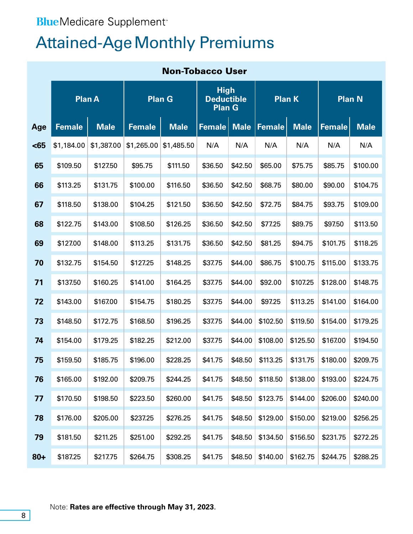### <span id="page-7-0"></span>**Blue**Medicare Supplement<sup>®</sup>

### **Attained-Age Monthly Premiums**

| <b>Non-Tobacco User</b> |               |             |               |             |                                                   |             |               |             |               |             |
|-------------------------|---------------|-------------|---------------|-------------|---------------------------------------------------|-------------|---------------|-------------|---------------|-------------|
|                         | <b>Plan A</b> |             | <b>Plan G</b> |             | <b>High</b><br><b>Deductible</b><br><b>Plan G</b> |             | Plan K        |             | <b>Plan N</b> |             |
| Age                     | <b>Female</b> | <b>Male</b> | <b>Female</b> | <b>Male</b> | <b>Female</b>                                     | <b>Male</b> | <b>Female</b> | <b>Male</b> | <b>Female</b> | <b>Male</b> |
| $65$                    | \$1,184.00    | \$1,387.00  | \$1,265.00    | \$1,485.50  | N/A                                               | N/A         | N/A           | N/A         | N/A           | N/A         |
| 65                      | \$109.50      | \$127.50    | \$95.75       | \$111.50    | \$36.50                                           | \$42.50     | \$65.00       | \$75.75     | \$85.75       | \$100.00    |
| 66                      | \$113.25      | \$131.75    | \$100.00      | \$116.50    | \$36.50                                           | \$42.50     | \$68.75       | \$80.00     | \$90.00       | \$104.75    |
| 67                      | \$118.50      | \$138.00    | \$104.25      | \$121.50    | \$36.50                                           | \$42.50     | \$72.75       | \$84.75     | \$93.75       | \$109.00    |
| 68                      | \$122.75      | \$143.00    | \$108.50      | \$126.25    | \$36.50                                           | \$42.50     | \$77.25       | \$89.75     | \$97.50       | \$113.50    |
| 69                      | \$127.00      | \$148.00    | \$113.25      | \$131.75    | \$36.50                                           | \$42.50     | \$81.25       | \$94.75     | \$101.75      | \$118.25    |
| 70                      | \$132.75      | \$154.50    | \$127.25      | \$148.25    | \$37.75                                           | \$44.00     | \$86.75       | \$100.75    | \$115.00      | \$133.75    |
| 71                      | \$137.50      | \$160.25    | \$141.00      | \$164.25    | \$37.75                                           | \$44.00     | \$92.00       | \$107.25    | \$128.00      | \$148.75    |
| 72                      | \$143.00      | \$167.00    | \$154.75      | \$180.25    | \$37.75                                           | \$44.00     | \$97.25       | \$113.25    | \$141.00      | \$164.00    |
| 73                      | \$148.50      | \$172.75    | \$168.50      | \$196.25    | \$37.75                                           | \$44.00     | \$102.50      | \$119.50    | \$154.00      | \$179.25    |
| 74                      | \$154.00      | \$179.25    | \$182.25      | \$212.00    | \$37.75                                           | \$44.00     | \$108.00      | \$125.50    | \$167.00      | \$194.50    |
| 75                      | \$159.50      | \$185.75    | \$196.00      | \$228.25    | \$41.75                                           | \$48.50     | \$113.25      | \$131.75    | \$180.00      | \$209.75    |
| 76                      | \$165.00      | \$192.00    | \$209.75      | \$244.25    | \$41.75                                           | \$48.50     | \$118.50      | \$138.00    | \$193.00      | \$224.75    |
| 77                      | \$170.50      | \$198.50    | \$223.50      | \$260.00    | \$41.75                                           | \$48.50     | \$123.75      | \$144.00    | \$206.00      | \$240.00    |
| 78                      | \$176.00      | \$205.00    | \$237.25      | \$276.25    | \$41.75                                           | \$48.50     | \$129.00      | \$150.00    | \$219.00      | \$256.25    |
| 79                      | \$181.50      | \$211.25    | \$251.00      | \$292.25    | \$41.75                                           | \$48.50     | \$134.50      | \$156.50    | \$231.75      | \$272.25    |
| $80 +$                  | \$187.25      | \$217.75    | \$264.75      | \$308.25    | \$41.75                                           | \$48.50     | \$140.00      | \$162.75    | \$244.75      | \$288.25    |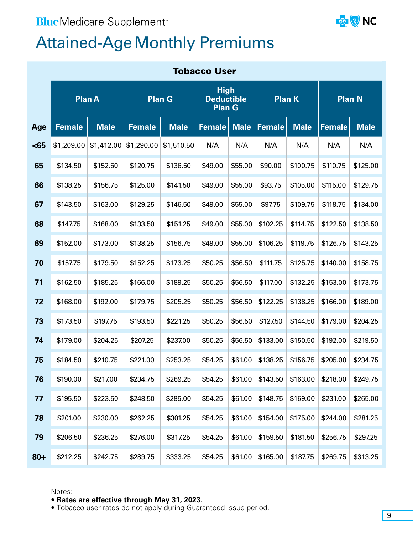### <span id="page-8-0"></span>**Blue**Medicare Supplement<sup>-</sup>



### **Attained-Age Monthly Premiums**

| <b>Tobacco User</b> |               |             |               |             |                                                   |             |               |             |               |             |
|---------------------|---------------|-------------|---------------|-------------|---------------------------------------------------|-------------|---------------|-------------|---------------|-------------|
|                     | <b>Plan A</b> |             | <b>Plan G</b> |             | <b>High</b><br><b>Deductible</b><br><b>Plan G</b> |             | <b>Plan K</b> |             | <b>Plan N</b> |             |
| Age                 | <b>Female</b> | <b>Male</b> | <b>Female</b> | <b>Male</b> | <b>Female</b>                                     | <b>Male</b> | <b>Female</b> | <b>Male</b> | <b>Female</b> | <b>Male</b> |
| <65                 | \$1,209.00    | \$1,412.00  | \$1,290.00    | \$1,510.50  | N/A                                               | N/A         | N/A           | N/A         | N/A           | N/A         |
| 65                  | \$134.50      | \$152.50    | \$120.75      | \$136.50    | \$49.00                                           | \$55.00     | \$90.00       | \$100.75    | \$110.75      | \$125.00    |
| 66                  | \$138.25      | \$156.75    | \$125.00      | \$141.50    | \$49.00                                           | \$55.00     | \$93.75       | \$105.00    | \$115.00      | \$129.75    |
| 67                  | \$143.50      | \$163.00    | \$129.25      | \$146.50    | \$49.00                                           | \$55.00     | \$97.75       | \$109.75    | \$118.75      | \$134.00    |
| 68                  | \$147.75      | \$168.00    | \$133.50      | \$151.25    | \$49.00                                           | \$55.00     | \$102.25      | \$114.75    | \$122.50      | \$138.50    |
| 69                  | \$152.00      | \$173.00    | \$138.25      | \$156.75    | \$49.00                                           | \$55.00     | \$106.25      | \$119.75    | \$126.75      | \$143.25    |
| 70                  | \$157.75      | \$179.50    | \$152.25      | \$173.25    | \$50.25                                           | \$56.50     | \$111.75      | \$125.75    | \$140.00      | \$158.75    |
| 71                  | \$162.50      | \$185.25    | \$166.00      | \$189.25    | \$50.25                                           | \$56.50     | \$117.00      | \$132.25    | \$153.00      | \$173.75    |
| 72                  | \$168.00      | \$192.00    | \$179.75      | \$205.25    | \$50.25                                           | \$56.50     | \$122.25      | \$138.25    | \$166.00      | \$189.00    |
| 73                  | \$173.50      | \$197.75    | \$193.50      | \$221.25    | \$50.25                                           | \$56.50     | \$127.50      | \$144.50    | \$179.00      | \$204.25    |
| 74                  | \$179.00      | \$204.25    | \$207.25      | \$237.00    | \$50.25                                           | \$56.50     | \$133.00      | \$150.50    | \$192.00      | \$219.50    |
| 75                  | \$184.50      | \$210.75    | \$221.00      | \$253.25    | \$54.25                                           | \$61.00     | \$138.25      | \$156.75    | \$205.00      | \$234.75    |
| 76                  | \$190.00      | \$217.00    | \$234.75      | \$269.25    | \$54.25                                           | \$61.00     | \$143.50      | \$163.00    | \$218.00      | \$249.75    |
| 77                  | \$195.50      | \$223.50    | \$248.50      | \$285.00    | \$54.25                                           | \$61.00     | \$148.75      | \$169.00    | \$231.00      | \$265.00    |
| 78                  | \$201.00      | \$230.00    | \$262.25      | \$301.25    | \$54.25                                           | \$61.00     | \$154.00      | \$175.00    | \$244.00      | \$281.25    |
| 79                  | \$206.50      | \$236.25    | \$276.00      | \$317.25    | \$54.25                                           | \$61.00     | \$159.50      | \$181.50    | \$256.75      | \$297.25    |
| $80 +$              | \$212.25      | \$242.75    | \$289.75      | \$333.25    | \$54.25                                           | \$61.00     | \$165.00      | \$187.75    | \$269.75      | \$313.25    |

Notes:

#### • **Rates are effective through May 31, 2023**.

• Tobacco user rates do not apply during Guaranteed Issue period.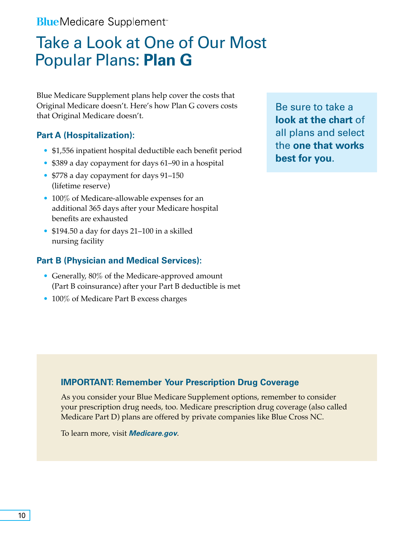<span id="page-9-0"></span>**Blue** Medicare Supplement<sup>®</sup>

### Take a Look at One of Our Most Popular Plans: **Plan G**

Blue Medicare Supplement plans help cover the costs that Original Medicare doesn't. Here's how Plan G covers costs that Original Medicare doesn't.

#### **Part A (Hospitalization):**

- \$1,556 inpatient hospital deductible each benefit period
- \$389 a day copayment for days 61–90 in a hospital
- \$778 a day copayment for days 91–150 (lifetime reserve)
- 100% of Medicare-allowable expenses for an additional 365 days after your Medicare hospital benefits are exhausted
- \$194.50 a day for days 21–100 in a skilled nursing facility

#### **Part B (Physician and Medical Services):**

- Generally, 80% of the Medicare-approved amount (Part B coinsurance) after your Part B deductible is met
- 100% of Medicare Part B excess charges

Be sure to take a **look at the chart** of all plans and select the **one that works best for you**.

#### **IMPORTANT: Remember Your Prescription Drug Coverage**

As you consider your Blue Medicare Supplement options, remember to consider your prescription drug needs, too. Medicare prescription drug coverage (also called Medicare Part D) plans are offered by private companies like Blue Cross NC.

To learn more, visit *[Medicare.gov](https://www.medicare.gov/)*.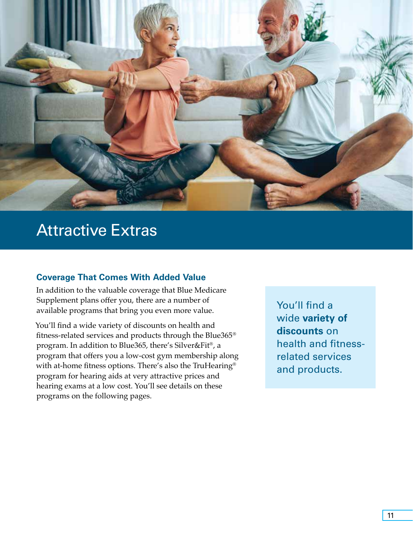

### Attractive Extras

#### **Coverage That Comes With Added Value**

In addition to the valuable coverage that Blue Medicare Supplement plans offer you, there are a number of available programs that bring you even more value.

You'll find a wide variety of discounts on health and fitness-related services and products through the Blue365® program. In addition to Blue365, there's Silver&Fit®, a program that offers you a low-cost gym membership along with at-home fitness options. There's also the TruHearing® program for hearing aids at very attractive prices and hearing exams at a low cost. You'll see details on these programs on the following pages.

You'll find a wide **variety of discounts** on health and fitnessrelated services and products.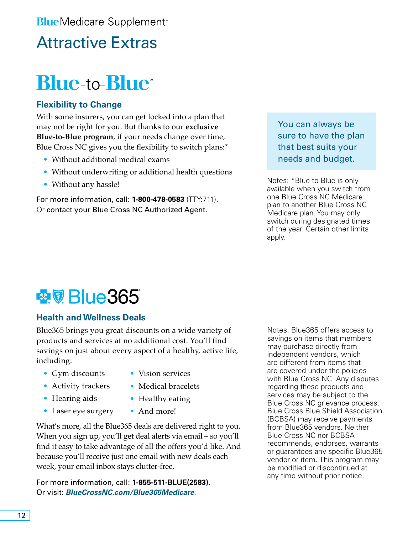### Attractive Extras

### **Blue-to-Blue**

### **Flexibility to Change**

With some insurers, you can get locked into a plan that may not be right for you. But thanks to our **exclusive Blue-to-Blue program**, if your needs change over time, Blue Cross NC gives you the flexibility to switch plans:\*

- Without additional medical exams
- Without underwriting or additional health questions
- Without any hassle!

For more information, call: **1-800-478-0583** (TTY:711). Or contact your Blue Cross NC Authorized Agent.

You can always be sure to have the plan that best suits your needs and budget.

Notes: \*Blue-to-Blue is only available when you switch from one Blue Cross NC Medicare plan to another Blue Cross NC Medicare plan. You may only switch during designated times of the year. Certain other limits apply.

### **图 Blue365**

#### **Health and Wellness Deals**

Blue365 brings you great discounts on a wide variety of products and services at no additional cost. You'll find savings on just about every aspect of a healthy, active life, including:

- Gym discounts
- Activity trackers
- Hearing aids

• Laser eye surgery

- Vision services • Medical bracelets
- Healthy eating
- And more!

What's more, all the Blue365 deals are delivered right to you. When you sign up, you'll get deal alerts via email – so you'll find it easy to take advantage of all the offers you'd like. And because you'll receive just one email with new deals each week, your email inbox stays clutter-free.

For more information, call: **1-855-511-BLUE(2583)**. Or visit: *[BlueCrossNC.com/Blue365Medicare](https://www.bcbsnc.com/content/blue365/index.htm)*.

Notes: Blue365 offers access to savings on items that members may purchase directly from independent vendors, which are different from items that are covered under the policies with Blue Cross NC. Any disputes regarding these products and services may be subject to the Blue Cross NC grievance process. Blue Cross Blue Shield Association (BCBSA) may receive payments from Blue365 vendors. Neither Blue Cross NC nor BCBSA recommends, endorses, warrants or guarantees any specific Blue365 vendor or item. This program may be modified or discontinued at any time without prior notice.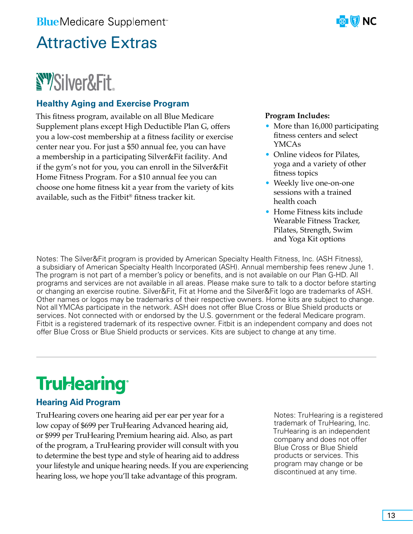### <span id="page-12-0"></span>Attractive Extras

## **NY Silver&Fit.**

### **Healthy Aging and Exercise Program**

This fitness program, available on all Blue Medicare Supplement plans except High Deductible Plan G, offers you a low-cost membership at a fitness facility or exercise center near you. For just a \$50 annual fee, you can have a membership in a participating Silver&Fit facility. And if the gym's not for you, you can enroll in the Silver&Fit Home Fitness Program. For a \$10 annual fee you can choose one home fitness kit a year from the variety of kits available, such as the Fitbit® fitness tracker kit.



#### **Program Includes:**

- More than 16,000 participating fitness centers and select YMCAs
- Online videos for Pilates, yoga and a variety of other fitness topics
- Weekly live one-on-one sessions with a trained health coach
- Home Fitness kits include Wearable Fitness Tracker, Pilates, Strength, Swim and Yoga Kit options

Notes: The Silver&Fit program is provided by American Specialty Health Fitness, Inc. (ASH Fitness), a subsidiary of American Specialty Health Incorporated (ASH). Annual membership fees renew June 1. The program is not part of a member's policy or benefits, and is not available on our Plan G-HD. All programs and services are not available in all areas. Please make sure to talk to a doctor before starting or changing an exercise routine. Silver&Fit, Fit at Home and the Silver&Fit logo are trademarks of ASH. Other names or logos may be trademarks of their respective owners. Home kits are subject to change. Not all YMCAs participate in the network. ASH does not offer Blue Cross or Blue Shield products or services. Not connected with or endorsed by the U.S. government or the federal Medicare program. Fitbit is a registered trademark of its respective owner. Fitbit is an independent company and does not offer Blue Cross or Blue Shield products or services. Kits are subject to change at any time.

### **Trul-learing**

### **Hearing Aid Program**

TruHearing covers one hearing aid per ear per year for a low copay of \$699 per TruHearing Advanced hearing aid, or \$999 per TruHearing Premium hearing aid. Also, as part of the program, a TruHearing provider will consult with you to determine the best type and style of hearing aid to address your lifestyle and unique hearing needs. If you are experiencing hearing loss, we hope you'll take advantage of this program.

Notes: TruHearing is a registered trademark of TruHearing, Inc. TruHearing is an independent company and does not offer Blue Cross or Blue Shield products or services. This program may change or be discontinued at any time.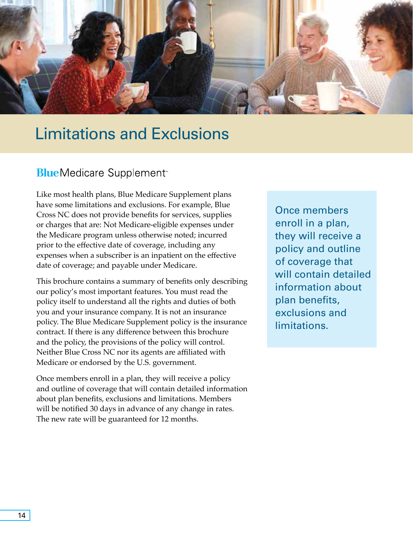<span id="page-13-0"></span>

### Limitations and Exclusions

### **BlueMedicare Supplement**<sup>®</sup>

Like most health plans, Blue Medicare Supplement plans have some limitations and exclusions. For example, Blue Cross NC does not provide benefits for services, supplies or charges that are: Not Medicare-eligible expenses under the Medicare program unless otherwise noted; incurred prior to the effective date of coverage, including any expenses when a subscriber is an inpatient on the effective date of coverage; and payable under Medicare.

This brochure contains a summary of benefits only describing our policy's most important features. You must read the policy itself to understand all the rights and duties of both you and your insurance company. It is not an insurance policy. The Blue Medicare Supplement policy is the insurance contract. If there is any difference between this brochure and the policy, the provisions of the policy will control. Neither Blue Cross NC nor its agents are affiliated with Medicare or endorsed by the U.S. government.

Once members enroll in a plan, they will receive a policy and outline of coverage that will contain detailed information about plan benefits, exclusions and limitations. Members will be notified 30 days in advance of any change in rates. The new rate will be guaranteed for 12 months.

Once members enroll in a plan, they will receive a policy and outline of coverage that will contain detailed information about plan benefits, exclusions and limitations.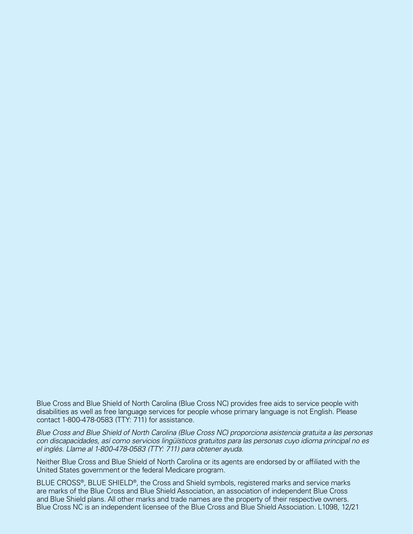Blue Cross and Blue Shield of North Carolina (Blue Cross NC) provides free aids to service people with disabilities as well as free language services for people whose primary language is not English. Please contact 1-800-478-0583 (TTY: 711) for assistance.

*Blue Cross and Blue Shield of North Carolina (Blue Cross NC) proporciona asistencia gratuita a las personas con discapacidades, así como servicios lingüísticos gratuitos para las personas cuyo idioma principal no es el inglés. Llame al 1-800-478-0583 (TTY: 711) para obtener ayuda.*

Neither Blue Cross and Blue Shield of North Carolina or its agents are endorsed by or affiliated with the United States government or the federal Medicare program.

BLUE CROSS®, BLUE SHIELD®, the Cross and Shield symbols, registered marks and service marks are marks of the Blue Cross and Blue Shield Association, an association of independent Blue Cross and Blue Shield plans. All other marks and trade names are the property of their respective owners. Blue Cross NC is an independent licensee of the Blue Cross and Blue Shield Association. L1098, 12/21